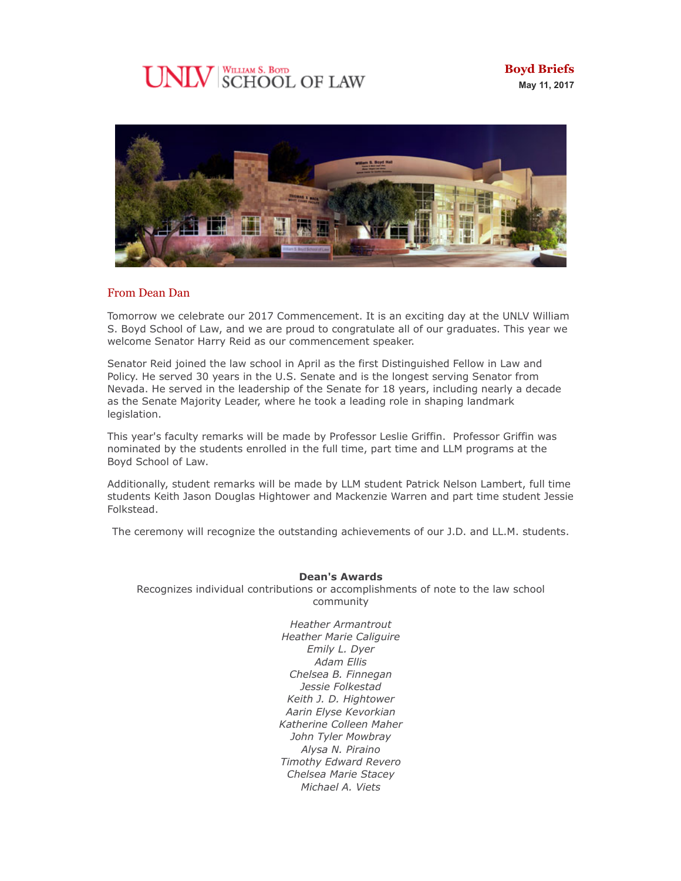# **UNLV** SCHOOL OF LAW



# From Dean Dan

Tomorrow we celebrate our 2017 Commencement. It is an exciting day at the UNLV William S. Boyd School of Law, and we are proud to congratulate all of our graduates. This year we welcome Senator Harry Reid as our commencement speaker.

Senator Reid joined the law school in April as the first Distinguished Fellow in Law and Policy. He served 30 years in the U.S. Senate and is the longest serving Senator from Nevada. He served in the leadership of the Senate for 18 years, including nearly a decade as the Senate Majority Leader, where he took a leading role in shaping landmark legislation.

This year's faculty remarks will be made by Professor Leslie Griffin. Professor Griffin was nominated by the students enrolled in the full time, part time and LLM programs at the Boyd School of Law.

Additionally, student remarks will be made by LLM student Patrick Nelson Lambert, full time students Keith Jason Douglas Hightower and Mackenzie Warren and part time student Jessie Folkstead.

The ceremony will recognize the outstanding achievements of our J.D. and LL.M. students.

#### **Dean's Awards**

Recognizes individual contributions or accomplishments of note to the law school community

> *Heather Armantrout Heather Marie Caliguire Emily L. Dyer Adam Ellis Chelsea B. Finnegan Jessie Folkestad Keith J. D. Hightower Aarin Elyse Kevorkian Katherine Colleen Maher John Tyler Mowbray Alysa N. Piraino Timothy Edward Revero Chelsea Marie Stacey Michael A. Viets*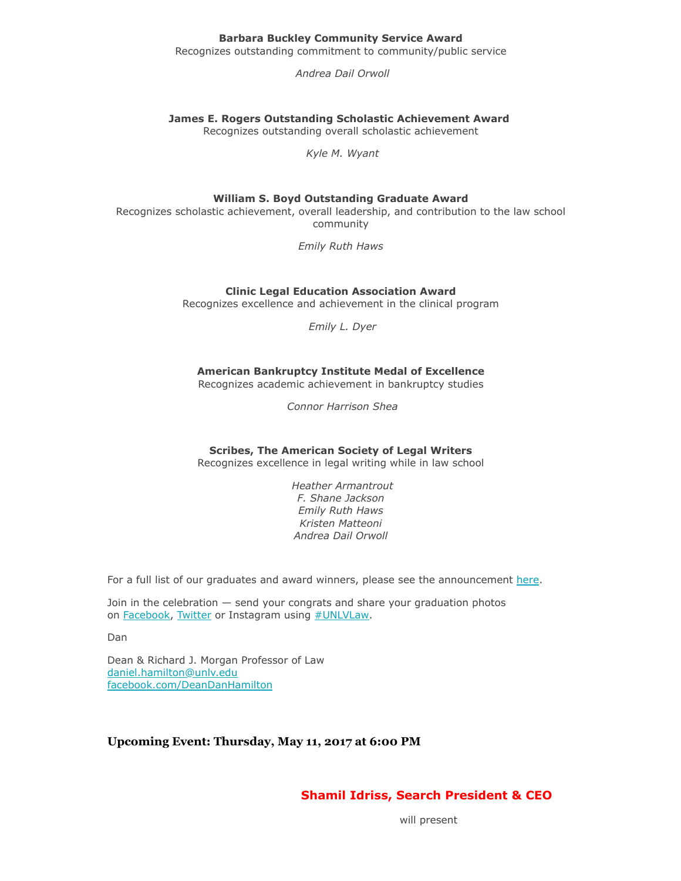# **Barbara Buckley Community Service Award**

Recognizes outstanding commitment to community/public service

*Andrea Dail Orwoll*

#### **James E. Rogers Outstanding Scholastic Achievement Award**

Recognizes outstanding overall scholastic achievement

*Kyle M. Wyant*

#### **William S. Boyd Outstanding Graduate Award**

Recognizes scholastic achievement, overall leadership, and contribution to the law school community

*Emily Ruth Haws*

#### **Clinic Legal Education Association Award**

Recognizes excellence and achievement in the clinical program

*Emily L. Dyer*

**American Bankruptcy Institute Medal of Excellence** Recognizes academic achievement in bankruptcy studies

*Connor Harrison Shea*

**Scribes, The American Society of Legal Writers**

Recognizes excellence in legal writing while in law school

*Heather Armantrout F. Shane Jackson Emily Ruth Haws Kristen Matteoni Andrea Dail Orwoll*

For a full list of our graduates and award winners, please see the announcement [here.](https://www.law.unlv.edu/news/boyd-school-law-honors-graduates-2017-commencement)

Join in the celebration — send your congrats and share your graduation photos on **[Facebook,](https://www.facebook.com/UNLVLaw) [Twitter](https://twitter.com/hashtag/UNLVLaw)** or Instagram using **#UNLVLaw**.

Dan

Dean & Richard J. Morgan Professor of Law [daniel.hamilton@unlv.edu](mailto:daniel.hamilton@unlv.edu) [facebook.com/DeanDanHamilton](http://r20.rs6.net/tn.jsp?f=001hu6mZ-r4pwInu2hXt_dE7ApMwbikuYJ_EQ1JSN_GURWFIVixJ8yWy5r6Zc8eSaTmmatdQfrMcfV8mDiFfoNRUz_xfJ4rwta_Xjr1nuAxckUnnkltOEaaNiCq6oFky5WvHQKWEGiWulykky9qPjBefBFq72KKxotg3FZp90DxVVI=&c=37ZOQu8EN2kmBxeBh2U4w3n3KMNz621K7LBJg4YdHjXn8iD7XOh5dg==&ch=U69Q1DVoTBxd_SaQRq9PiMJhvuW-8ywHRfeXTxj6d2aZHbrnRIRYGg==)

**Upcoming Event: Thursday, May 11, 2017 at 6:00 PM**

**Shamil Idriss, Search President & CEO** 

will present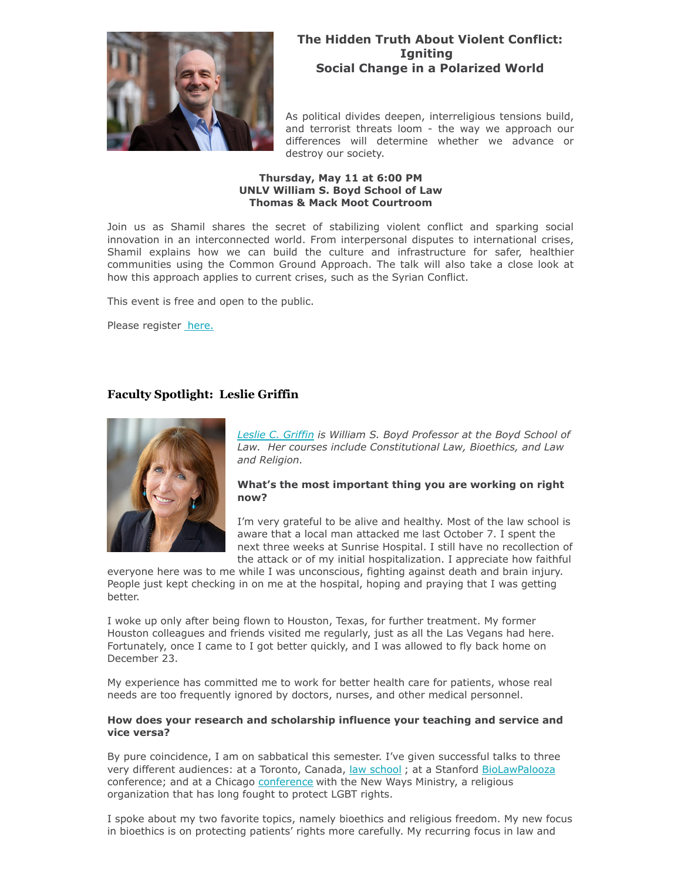

# **The Hidden Truth About Violent Conflict: Igniting Social Change in a Polarized World**

As political divides deepen, interreligious tensions build, and terrorist threats loom - the way we approach our differences will determine whether we advance or destroy our society.

# **Thursday, May 11 at 6:00 PM UNLV William S. Boyd School of Law Thomas & Mack Moot Courtroom**

Join us as Shamil shares the secret of stabilizing violent conflict and sparking social innovation in an interconnected world. From interpersonal disputes to international crises, Shamil explains how we can build the culture and infrastructure for safer, healthier communities using the Common Ground Approach. The talk will also take a close look at how this approach applies to current crises, such as the Syrian Conflict.

This event is free and open to the public.

Please register [here.](https://law.unlv.edu/content/hidden-truth-about-violent-conflict-igniting-social-change-polarized-world)

# **Faculty Spotlight: Leslie Griffin**



*[Leslie C. Griffin](https://law.unlv.edu/faculty/leslie-griffin) is William S. Boyd Professor at the Boyd School of Law. Her courses include Constitutional Law, Bioethics, and Law and Religion.*

# **What's the most important thing you are working on right now?**

I'm very grateful to be alive and healthy. Most of the law school is aware that a local man attacked me last October 7. I spent the next three weeks at Sunrise Hospital. I still have no recollection of the attack or of my initial hospitalization. I appreciate how faithful

everyone here was to me while I was unconscious, fighting against death and brain injury. People just kept checking in on me at the hospital, hoping and praying that I was getting better.

I woke up only after being flown to Houston, Texas, for further treatment. My former Houston colleagues and friends visited me regularly, just as all the Las Vegans had here. Fortunately, once I came to I got better quickly, and I was allowed to fly back home on December 23.

My experience has committed me to work for better health care for patients, whose real needs are too frequently ignored by doctors, nurses, and other medical personnel.

# **How does your research and scholarship influence your teaching and service and vice versa?**

By pure coincidence, I am on sabbatical this semester. I've given successful talks to three very different audiences: at a Toronto, Canada, [law school](https://ifls.osgoode.yorku.ca/tag/leslie-griffin/); at a Stanford [BioLawPalooza](http://www.lexvivo.com/2017/01/biolawpalooza.html) conference; and at a Chicago [conference](https://twitter.com/EBCatholic/status/854416125131726848) with the New Ways Ministry, a religious organization that has long fought to protect LGBT rights.

I spoke about my two favorite topics, namely bioethics and religious freedom. My new focus in bioethics is on protecting patients' rights more carefully. My recurring focus in law and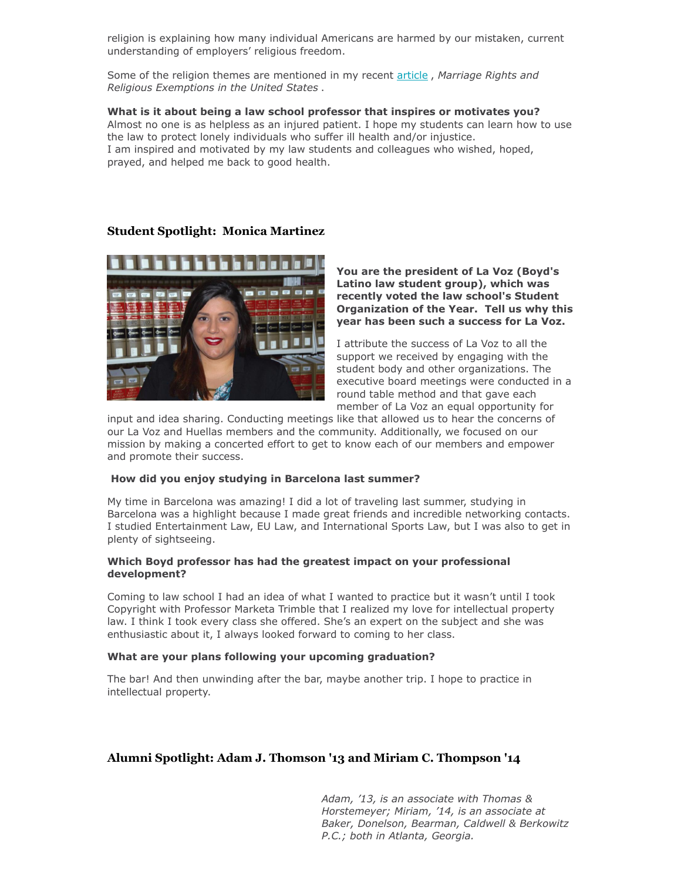religion is explaining how many individual Americans are harmed by our mistaken, current understanding of employers' religious freedom.

Some of the religion themes are mentioned in my recent [article](http://www.oxfordhandbooks.com/view/10.1093/oxfordhb/9780199935352.001.0001/oxfordhb-9780199935352-e-19?rskey=2gzvlx&result=1.) , *Marriage Rights and Religious Exemptions in the United States* .

**What is it about being a law school professor that inspires or motivates you?** Almost no one is as helpless as an injured patient. I hope my students can learn how to use the law to protect lonely individuals who suffer ill health and/or injustice. I am inspired and motivated by my law students and colleagues who wished, hoped, prayed, and helped me back to good health.

# **Student Spotlight: Monica Martinez**



**You are the president of La Voz (Boyd's Latino law student group), which was recently voted the law school's Student Organization of the Year. Tell us why this year has been such a success for La Voz.**

I attribute the success of La Voz to all the support we received by engaging with the student body and other organizations. The executive board meetings were conducted in a round table method and that gave each member of La Voz an equal opportunity for

input and idea sharing. Conducting meetings like that allowed us to hear the concerns of our La Voz and Huellas members and the community. Additionally, we focused on our mission by making a concerted effort to get to know each of our members and empower and promote their success.

#### **How did you enjoy studying in Barcelona last summer?**

My time in Barcelona was amazing! I did a lot of traveling last summer, studying in Barcelona was a highlight because I made great friends and incredible networking contacts. I studied Entertainment Law, EU Law, and International Sports Law, but I was also to get in plenty of sightseeing.

# **Which Boyd professor has had the greatest impact on your professional development?**

Coming to law school I had an idea of what I wanted to practice but it wasn't until I took Copyright with Professor Marketa Trimble that I realized my love for intellectual property law. I think I took every class she offered. She's an expert on the subject and she was enthusiastic about it, I always looked forward to coming to her class.

#### **What are your plans following your upcoming graduation?**

The bar! And then unwinding after the bar, maybe another trip. I hope to practice in intellectual property.

# **Alumni Spotlight: Adam J. Thomson '13 and Miriam C. Thompson '14**

*Adam, '13, is an associate with Thomas & Horstemeyer; Miriam, '14, is an associate at Baker, Donelson, Bearman, Caldwell & Berkowitz P.C.; both in Atlanta, Georgia.*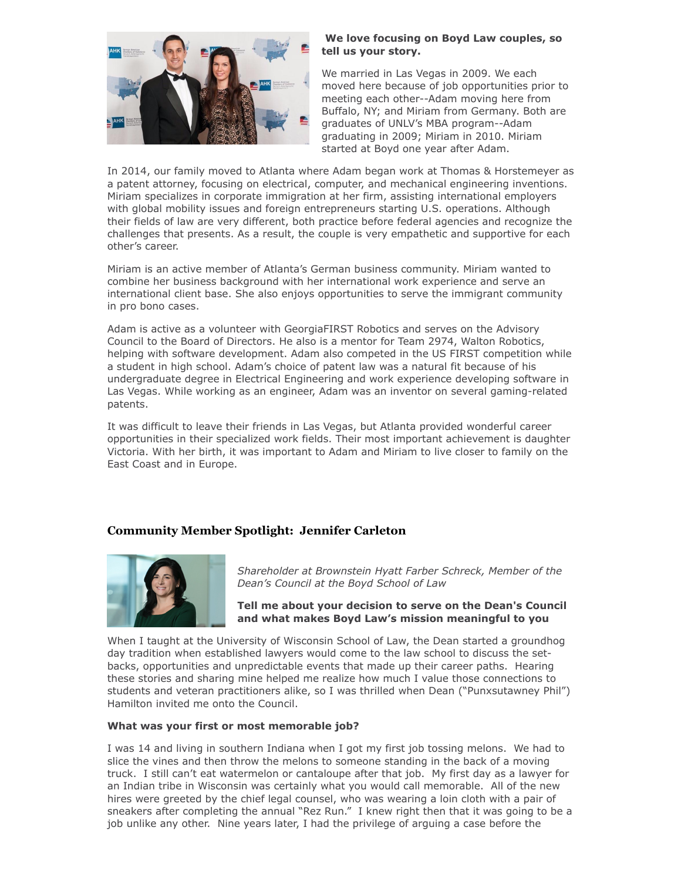

# **We love focusing on Boyd Law couples, so tell us your story.**

We married in Las Vegas in 2009. We each moved here because of job opportunities prior to meeting each other--Adam moving here from Buffalo, NY; and Miriam from Germany. Both are graduates of UNLV's MBA program--Adam graduating in 2009; Miriam in 2010. Miriam started at Boyd one year after Adam.

In 2014, our family moved to Atlanta where Adam began work at Thomas & Horstemeyer as a patent attorney, focusing on electrical, computer, and mechanical engineering inventions. Miriam specializes in corporate immigration at her firm, assisting international employers with global mobility issues and foreign entrepreneurs starting U.S. operations. Although their fields of law are very different, both practice before federal agencies and recognize the challenges that presents. As a result, the couple is very empathetic and supportive for each other's career.

Miriam is an active member of Atlanta's German business community. Miriam wanted to combine her business background with her international work experience and serve an international client base. She also enjoys opportunities to serve the immigrant community in pro bono cases.

Adam is active as a volunteer with GeorgiaFIRST Robotics and serves on the Advisory Council to the Board of Directors. He also is a mentor for Team 2974, Walton Robotics, helping with software development. Adam also competed in the US FIRST competition while a student in high school. Adam's choice of patent law was a natural fit because of his undergraduate degree in Electrical Engineering and work experience developing software in Las Vegas. While working as an engineer, Adam was an inventor on several gaming-related patents.

It was difficult to leave their friends in Las Vegas, but Atlanta provided wonderful career opportunities in their specialized work fields. Their most important achievement is daughter Victoria. With her birth, it was important to Adam and Miriam to live closer to family on the East Coast and in Europe.

# **Community Member Spotlight: Jennifer Carleton**



*Shareholder at Brownstein Hyatt Farber Schreck, Member of the Dean's Council at the Boyd School of Law*

# **Tell me about your decision to serve on the Dean's Council and what makes Boyd Law's mission meaningful to you**

When I taught at the University of Wisconsin School of Law, the Dean started a groundhog day tradition when established lawyers would come to the law school to discuss the setbacks, opportunities and unpredictable events that made up their career paths. Hearing these stories and sharing mine helped me realize how much I value those connections to students and veteran practitioners alike, so I was thrilled when Dean ("Punxsutawney Phil") Hamilton invited me onto the Council.

# **What was your first or most memorable job?**

I was 14 and living in southern Indiana when I got my first job tossing melons. We had to slice the vines and then throw the melons to someone standing in the back of a moving truck. I still can't eat watermelon or cantaloupe after that job. My first day as a lawyer for an Indian tribe in Wisconsin was certainly what you would call memorable. All of the new hires were greeted by the chief legal counsel, who was wearing a loin cloth with a pair of sneakers after completing the annual "Rez Run." I knew right then that it was going to be a job unlike any other. Nine years later, I had the privilege of arguing a case before the